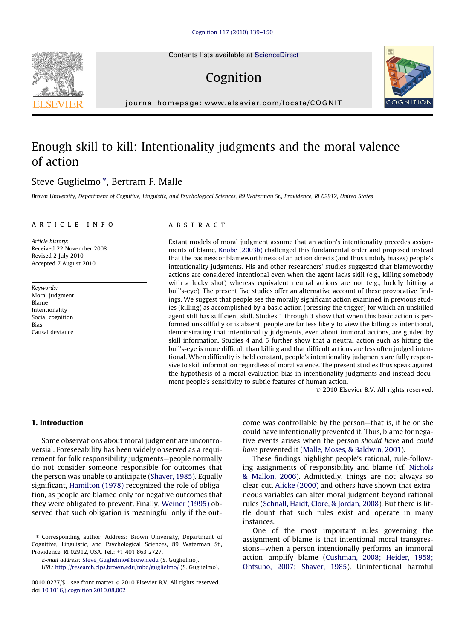Contents lists available at [ScienceDirect](http://www.sciencedirect.com/science/journal/00100277)

# Cognition



journal homepage: [www.elsevier.com/locate/COGNIT](http://www.elsevier.com/locate/COGNIT)

# Enough skill to kill: Intentionality judgments and the moral valence of action

# Steve Guglielmo \*, Bertram F. Malle

Brown University, Department of Cognitive, Linguistic, and Psychological Sciences, 89 Waterman St., Providence, RI 02912, United States

#### ARTICIE INFO

Article history: Received 22 November 2008 Revised 2 July 2010 Accepted 7 August 2010

Keywords: Moral judgment Blame Intentionality Social cognition Bias Causal deviance

# **ARSTRACT**

Extant models of moral judgment assume that an action's intentionality precedes assignments of blame. [Knobe \(2003b\)](#page-11-0) challenged this fundamental order and proposed instead that the badness or blameworthiness of an action directs (and thus unduly biases) people's intentionality judgments. His and other researchers' studies suggested that blameworthy actions are considered intentional even when the agent lacks skill (e.g., killing somebody with a lucky shot) whereas equivalent neutral actions are not (e.g., luckily hitting a bull's-eye). The present five studies offer an alternative account of these provocative findings. We suggest that people see the morally significant action examined in previous studies (killing) as accomplished by a basic action (pressing the trigger) for which an unskilled agent still has sufficient skill. Studies 1 through 3 show that when this basic action is performed unskillfully or is absent, people are far less likely to view the killing as intentional, demonstrating that intentionality judgments, even about immoral actions, are guided by skill information. Studies 4 and 5 further show that a neutral action such as hitting the bull's-eye is more difficult than killing and that difficult actions are less often judged intentional. When difficulty is held constant, people's intentionality judgments are fully responsive to skill information regardless of moral valence. The present studies thus speak against the hypothesis of a moral evaluation bias in intentionality judgments and instead document people's sensitivity to subtle features of human action.

- 2010 Elsevier B.V. All rights reserved.

# 1. Introduction

Some observations about moral judgment are uncontroversial. Foreseeability has been widely observed as a requirement for folk responsibility judgments—people normally do not consider someone responsible for outcomes that the person was unable to anticipate ([Shaver, 1985](#page-11-0)). Equally significant, [Hamilton \(1978\)](#page-11-0) recognized the role of obligation, as people are blamed only for negative outcomes that they were obligated to prevent. Finally, [Weiner \(1995\)](#page-11-0) observed that such obligation is meaningful only if the outcome was controllable by the person—that is, if he or she could have intentionally prevented it. Thus, blame for negative events arises when the person should have and could have prevented it ([Malle, Moses, & Baldwin, 2001\)](#page-11-0).

These findings highlight people's rational, rule-following assignments of responsibility and blame (cf. [Nichols](#page-11-0) [& Mallon, 2006\)](#page-11-0). Admittedly, things are not always so clear-cut. [Alicke \(2000\)](#page-11-0) and others have shown that extraneous variables can alter moral judgment beyond rational rules ([Schnall, Haidt, Clore, & Jordan, 2008\)](#page-11-0). But there is little doubt that such rules exist and operate in many instances.

One of the most important rules governing the assignment of blame is that intentional moral transgressions—when a person intentionally performs an immoral action—amplify blame [\(Cushman, 2008; Heider, 1958;](#page-11-0) [Ohtsubo, 2007; Shaver, 1985\)](#page-11-0). Unintentional harmful



<sup>⇑</sup> Corresponding author. Address: Brown University, Department of Cognitive, Linguistic, and Psychological Sciences, 89 Waterman St., Providence, RI 02912, USA. Tel.: +1 401 863 2727.

E-mail address: [Steve\\_Guglielmo@Brown.edu](mailto:Steve_Guglielmo@Brown.edu) (S. Guglielmo). URL: <http://research.clps.brown.edu/mbq/guglielmo/> (S. Guglielmo).

<sup>0010-0277/\$ -</sup> see front matter © 2010 Elsevier B.V. All rights reserved. doi:[10.1016/j.cognition.2010.08.002](http://dx.doi.org/10.1016/j.cognition.2010.08.002)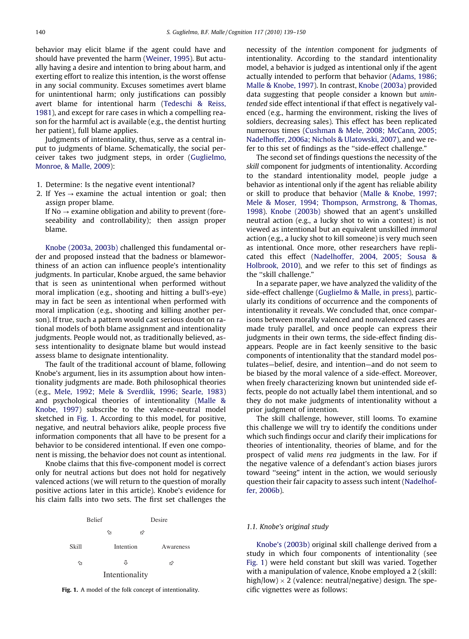behavior may elicit blame if the agent could have and should have prevented the harm [\(Weiner, 1995](#page-11-0)). But actually having a desire and intention to bring about harm, and exerting effort to realize this intention, is the worst offense in any social community. Excuses sometimes avert blame for unintentional harm; only justifications can possibly avert blame for intentional harm [\(Tedeschi & Reiss,](#page-11-0) [1981](#page-11-0)), and except for rare cases in which a compelling reason for the harmful act is available (e.g., the dentist hurting her patient), full blame applies.

Judgments of intentionality, thus, serve as a central input to judgments of blame. Schematically, the social perceiver takes two judgment steps, in order [\(Guglielmo,](#page-11-0) [Monroe, & Malle, 2009\)](#page-11-0):

- 1. Determine: Is the negative event intentional?
- 2. If Yes  $\rightarrow$  examine the actual intention or goal; then assign proper blame.
	- If No  $\rightarrow$  examine obligation and ability to prevent (foreseeability and controllability); then assign proper blame.

[Knobe \(2003a, 2003b\)](#page-11-0) challenged this fundamental order and proposed instead that the badness or blameworthiness of an action can influence people's intentionality judgments. In particular, Knobe argued, the same behavior that is seen as unintentional when performed without moral implication (e.g., shooting and hitting a bull's-eye) may in fact be seen as intentional when performed with moral implication (e.g., shooting and killing another person). If true, such a pattern would cast serious doubt on rational models of both blame assignment and intentionality judgments. People would not, as traditionally believed, assess intentionality to designate blame but would instead assess blame to designate intentionality.

The fault of the traditional account of blame, following Knobe's argument, lies in its assumption about how intentionality judgments are made. Both philosophical theories (e.g., [Mele, 1992; Mele & Sverdlik, 1996; Searle, 1983](#page-11-0)) and psychological theories of intentionality [\(Malle &](#page-11-0) [Knobe, 1997\)](#page-11-0) subscribe to the valence-neutral model sketched in Fig. 1. According to this model, for positive, negative, and neutral behaviors alike, people process five information components that all have to be present for a behavior to be considered intentional. If even one component is missing, the behavior does not count as intentional.

Knobe claims that this five-component model is correct only for neutral actions but does not hold for negatively valenced actions (we will return to the question of morally positive actions later in this article). Knobe's evidence for his claim falls into two sets. The first set challenges the



Fig. 1. A model of the folk concept of intentionality.

necessity of the intention component for judgments of intentionality. According to the standard intentionality model, a behavior is judged as intentional only if the agent actually intended to perform that behavior [\(Adams, 1986;](#page-11-0) [Malle & Knobe, 1997](#page-11-0)). In contrast, [Knobe \(2003a\)](#page-11-0) provided data suggesting that people consider a known but unintended side effect intentional if that effect is negatively valenced (e.g., harming the environment, risking the lives of soldiers, decreasing sales). This effect has been replicated numerous times ([Cushman & Mele, 2008; McCann, 2005;](#page-11-0) [Nadelhoffer, 2006a; Nichols & Ulatowski, 2007\)](#page-11-0), and we refer to this set of findings as the ''side-effect challenge."

The second set of findings questions the necessity of the skill component for judgments of intentionality. According to the standard intentionality model, people judge a behavior as intentional only if the agent has reliable ability or skill to produce that behavior ([Malle & Knobe, 1997;](#page-11-0) [Mele & Moser, 1994; Thompson, Armstrong, & Thomas,](#page-11-0) [1998](#page-11-0)). [Knobe \(2003b\)](#page-11-0) showed that an agent's unskilled neutral action (e.g., a lucky shot to win a contest) is not viewed as intentional but an equivalent unskilled immoral action (e.g., a lucky shot to kill someone) is very much seen as intentional. Once more, other researchers have replicated this effect ([Nadelhoffer, 2004, 2005; Sousa &](#page-11-0) [Holbrook, 2010\)](#page-11-0), and we refer to this set of findings as the ''skill challenge."

In a separate paper, we have analyzed the validity of the side-effect challenge ([Guglielmo & Malle, in press\)](#page-11-0), particularly its conditions of occurrence and the components of intentionality it reveals. We concluded that, once comparisons between morally valenced and nonvalenced cases are made truly parallel, and once people can express their judgments in their own terms, the side-effect finding disappears. People are in fact keenly sensitive to the basic components of intentionality that the standard model postulates—belief, desire, and intention—and do not seem to be biased by the moral valence of a side-effect. Moreover, when freely characterizing known but unintended side effects, people do not actually label them intentional, and so they do not make judgments of intentionality without a prior judgment of intention.

The skill challenge, however, still looms. To examine this challenge we will try to identify the conditions under which such findings occur and clarify their implications for theories of intentionality, theories of blame, and for the prospect of valid mens rea judgments in the law. For if the negative valence of a defendant's action biases jurors toward ''seeing" intent in the action, we would seriously question their fair capacity to assess such intent ([Nadelhof](#page-11-0)[fer, 2006b\)](#page-11-0).

#### 1.1. Knobe's original study

[Knobe's \(2003b\)](#page-11-0) original skill challenge derived from a study in which four components of intentionality (see Fig. 1) were held constant but skill was varied. Together with a manipulation of valence, Knobe employed a 2 (skill: high/low)  $\times$  2 (valence: neutral/negative) design. The specific vignettes were as follows: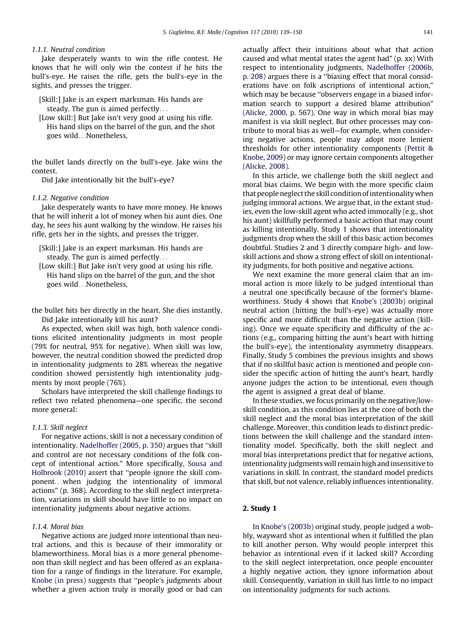## 1.1.1. Neutral condition

Jake desperately wants to win the rifle contest. He knows that he will only win the contest if he hits the bull's-eye. He raises the rifle, gets the bull's-eye in the sights, and presses the trigger.

[Skill:] Jake is an expert marksman. His hands are steady. The gun is aimed perfectly...

[Low skill:] But Jake isn't very good at using his rifle. His hand slips on the barrel of the gun, and the shot goes wild...Nonetheless,

the bullet lands directly on the bull's-eye. Jake wins the contest.

Did Jake intentionally hit the bull's-eye?

#### 1.1.2. Negative condition

Jake desperately wants to have more money. He knows that he will inherit a lot of money when his aunt dies. One day, he sees his aunt walking by the window. He raises his rifle, gets her in the sights, and presses the trigger.

[Skill:] Jake is an expert marksman. His hands are steady. The gun is aimed perfectly...

- [Low skill:] But Jake isn't very good at using his rifle. His hand slips on the barrel of the gun, and the shot goes wild...Nonetheless,
- the bullet hits her directly in the heart. She dies instantly. Did Jake intentionally kill his aunt?

As expected, when skill was high, both valence conditions elicited intentionality judgments in most people (79% for neutral, 95% for negative). When skill was low, however, the neutral condition showed the predicted drop in intentionality judgments to 28% whereas the negative condition showed persistently high intentionality judgments by most people (76%).

Scholars have interpreted the skill challenge findings to reflect two related phenomena—one specific, the second more general:

#### 1.1.3. Skill neglect

For negative actions, skill is not a necessary condition of intentionality. [Nadelhoffer \(2005, p. 350\)](#page-11-0) argues that ''skill and control are not necessary conditions of the folk concept of intentional action." More specifically, [Sousa and](#page-11-0) [Holbrook \(2010\)](#page-11-0) assert that ''people ignore the skill component...when judging the intentionality of immoral actions" (p. 368). According to the skill neglect interpretation, variations in skill should have little to no impact on intentionality judgments about negative actions.

#### 1.1.4. Moral bias

Negative actions are judged more intentional than neutral actions, and this is because of their immorality or blameworthiness. Moral bias is a more general phenomenon than skill neglect and has been offered as an explanation for a range of findings in the literature. For example, [Knobe \(in press\)](#page-11-0) suggests that ''people's judgments about whether a given action truly is morally good or bad can actually affect their intuitions about what that action caused and what mental states the agent had" (p. xx) With respect to intentionality judgments, [Nadelhoffer \(2006b,](#page-11-0) [p. 208\)](#page-11-0) argues there is a ''biasing effect that moral considerations have on folk ascriptions of intentional action," which may be because ''observers engage in a biased information search to support a desired blame attribution" [\(Alicke, 2000,](#page-11-0) p. 567). One way in which moral bias may manifest is via skill neglect. But other processes may contribute to moral bias as well—for example, when considering negative actions, people may adopt more lenient thresholds for other intentionality components ([Pettit &](#page-11-0) [Knobe, 2009\)](#page-11-0) or may ignore certain components altogether [\(Alicke, 2008](#page-11-0)).

In this article, we challenge both the skill neglect and moral bias claims. We begin with the more specific claim that people neglect the skill condition of intentionality when judging immoral actions. We argue that, in the extant studies, even the low-skill agent who acted immorally (e.g., shot his aunt) skillfully performed a basic action that may count as killing intentionally. Study 1 shows that intentionality judgments drop when the skill of this basic action becomes doubtful. Studies 2 and 3 directly compare high- and lowskill actions and show a strong effect of skill on intentionality judgments, for both positive and negative actions.

We next examine the more general claim that an immoral action is more likely to be judged intentional than a neutral one specifically because of the former's blameworthiness. Study 4 shows that [Knobe's \(2003b\)](#page-11-0) original neutral action (hitting the bull's-eye) was actually more specific and more difficult than the negative action (killing). Once we equate specificity and difficulty of the actions (e.g., comparing hitting the aunt's heart with hitting the bull's-eye), the intentionality asymmetry disappears. Finally, Study 5 combines the previous insights and shows that if no skillful basic action is mentioned and people consider the specific action of hitting the aunt's heart, hardly anyone judges the action to be intentional, even though the agent is assigned a great deal of blame.

In these studies, we focus primarily on the negative/lowskill condition, as this condition lies at the core of both the skill neglect and the moral bias interpretation of the skill challenge. Moreover, this condition leads to distinct predictions between the skill challenge and the standard intentionality model. Specifically, both the skill neglect and moral bias interpretations predict that for negative actions, intentionality judgments will remain high and insensitive to variations in skill. In contrast, the standard model predicts that skill, but not valence, reliably influences intentionality.

# 2. Study 1

In [Knobe's \(2003b\)](#page-11-0) original study, people judged a wobbly, wayward shot as intentional when it fulfilled the plan to kill another person. Why would people interpret this behavior as intentional even if it lacked skill? According to the skill neglect interpretation, once people encounter a highly negative action, they ignore information about skill. Consequently, variation in skill has little to no impact on intentionality judgments for such actions.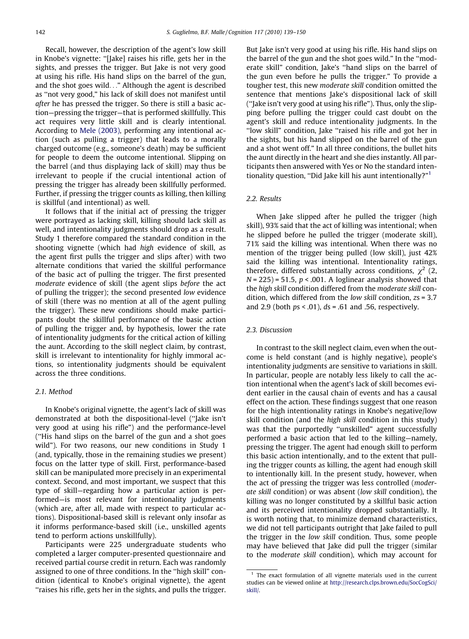Recall, however, the description of the agent's low skill in Knobe's vignette: ''[Jake] raises his rifle, gets her in the sights, and presses the trigger. But Jake is not very good at using his rifle. His hand slips on the barrel of the gun, and the shot goes wild..." Although the agent is described as ''not very good," his lack of skill does not manifest until after he has pressed the trigger. So there is still a basic action—pressing the trigger—that is performed skillfully. This act requires very little skill and is clearly intentional. According to [Mele \(2003\)](#page-11-0), performing any intentional action (such as pulling a trigger) that leads to a morally charged outcome (e.g., someone's death) may be sufficient for people to deem the outcome intentional. Slipping on the barrel (and thus displaying lack of skill) may thus be irrelevant to people if the crucial intentional action of pressing the trigger has already been skillfully performed. Further, if pressing the trigger counts as killing, then killing is skillful (and intentional) as well.

It follows that if the initial act of pressing the trigger were portrayed as lacking skill, killing should lack skill as well, and intentionality judgments should drop as a result. Study 1 therefore compared the standard condition in the shooting vignette (which had high evidence of skill, as the agent first pulls the trigger and slips after) with two alternate conditions that varied the skillful performance of the basic act of pulling the trigger. The first presented moderate evidence of skill (the agent slips before the act of pulling the trigger); the second presented low evidence of skill (there was no mention at all of the agent pulling the trigger). These new conditions should make participants doubt the skillful performance of the basic action of pulling the trigger and, by hypothesis, lower the rate of intentionality judgments for the critical action of killing the aunt. According to the skill neglect claim, by contrast, skill is irrelevant to intentionality for highly immoral actions, so intentionality judgments should be equivalent across the three conditions.

### 2.1. Method

In Knobe's original vignette, the agent's lack of skill was demonstrated at both the dispositional-level (''Jake isn't very good at using his rifle") and the performance-level (''His hand slips on the barrel of the gun and a shot goes wild"). For two reasons, our new conditions in Study 1 (and, typically, those in the remaining studies we present) focus on the latter type of skill. First, performance-based skill can be manipulated more precisely in an experimental context. Second, and most important, we suspect that this type of skill—regarding how a particular action is performed—is most relevant for intentionality judgments (which are, after all, made with respect to particular actions). Dispositional-based skill is relevant only insofar as it informs performance-based skill (i.e., unskilled agents tend to perform actions unskillfully).

Participants were 225 undergraduate students who completed a larger computer-presented questionnaire and received partial course credit in return. Each was randomly assigned to one of three conditions. In the ''high skill" condition (identical to Knobe's original vignette), the agent ''raises his rifle, gets her in the sights, and pulls the trigger.

But Jake isn't very good at using his rifle. His hand slips on the barrel of the gun and the shot goes wild." In the ''moderate skill" condition, Jake's ''hand slips on the barrel of the gun even before he pulls the trigger." To provide a tougher test, this new moderate skill condition omitted the sentence that mentions Jake's dispositional lack of skill (''Jake isn't very good at using his rifle"). Thus, only the slipping before pulling the trigger could cast doubt on the agent's skill and reduce intentionality judgments. In the ''low skill" condition, Jake ''raised his rifle and got her in the sights, but his hand slipped on the barrel of the gun and a shot went off." In all three conditions, the bullet hits the aunt directly in the heart and she dies instantly. All participants then answered with Yes or No the standard intentionality question, ''Did Jake kill his aunt intentionally?"1

#### 2.2. Results

When Jake slipped after he pulled the trigger (high skill), 93% said that the act of killing was intentional; when he slipped before he pulled the trigger (moderate skill), 71% said the killing was intentional. When there was no mention of the trigger being pulled (low skill), just 42% said the killing was intentional. Intentionality ratings, therefore, differed substantially across conditions,  $\chi^2$  (2,  $N = 225$ ) = 51.5,  $p < .001$ . A loglinear analysis showed that the high skill condition differed from the moderate skill condition, which differed from the low skill condition, zs = 3.7 and 2.9 (both  $ps < .01$ ),  $ds = .61$  and .56, respectively.

#### 2.3. Discussion

In contrast to the skill neglect claim, even when the outcome is held constant (and is highly negative), people's intentionality judgments are sensitive to variations in skill. In particular, people are notably less likely to call the action intentional when the agent's lack of skill becomes evident earlier in the causal chain of events and has a causal effect on the action. These findings suggest that one reason for the high intentionality ratings in Knobe's negative/low skill condition (and the high skill condition in this study) was that the purportedly "unskilled" agent successfully performed a basic action that led to the killing—namely, pressing the trigger. The agent had enough skill to perform this basic action intentionally, and to the extent that pulling the trigger counts as killing, the agent had enough skill to intentionally kill. In the present study, however, when the act of pressing the trigger was less controlled (moderate skill condition) or was absent (low skill condition), the killing was no longer constituted by a skillful basic action and its perceived intentionality dropped substantially. It is worth noting that, to minimize demand characteristics, we did not tell participants outright that Jake failed to pull the trigger in the low skill condition. Thus, some people may have believed that Jake did pull the trigger (similar to the moderate skill condition), which may account for

 $1$  The exact formulation of all vignette materials used in the current studies can be viewed online at [http://research.clps.brown.edu/SocCogSci/](http://research.clps.brown.edu/SocCogSci/skill/) [skill/.](http://research.clps.brown.edu/SocCogSci/skill/)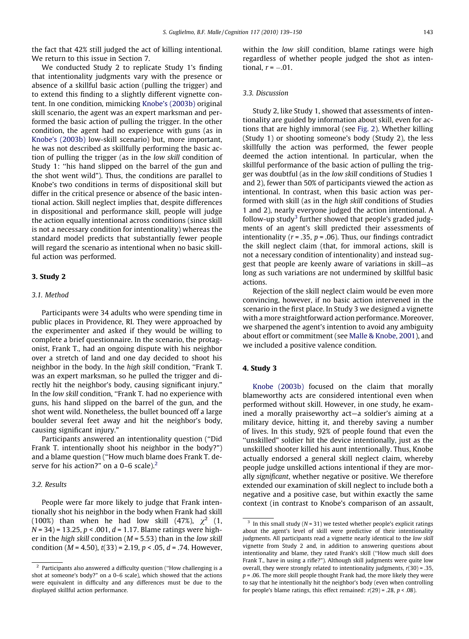the fact that 42% still judged the act of killing intentional. We return to this issue in Section 7.

We conducted Study 2 to replicate Study 1's finding that intentionality judgments vary with the presence or absence of a skillful basic action (pulling the trigger) and to extend this finding to a slightly different vignette content. In one condition, mimicking [Knobe's \(2003b\)](#page-11-0) original skill scenario, the agent was an expert marksman and performed the basic action of pulling the trigger. In the other condition, the agent had no experience with guns (as in [Knobe's \(2003b\)](#page-11-0) low-skill scenario) but, more important, he was not described as skillfully performing the basic action of pulling the trigger (as in the low skill condition of Study 1: ''his hand slipped on the barrel of the gun and the shot went wild"). Thus, the conditions are parallel to Knobe's two conditions in terms of dispositional skill but differ in the critical presence or absence of the basic intentional action. Skill neglect implies that, despite differences in dispositional and performance skill, people will judge the action equally intentional across conditions (since skill is not a necessary condition for intentionality) whereas the standard model predicts that substantially fewer people will regard the scenario as intentional when no basic skillful action was performed.

#### 3. Study 2

#### 3.1. Method

Participants were 34 adults who were spending time in public places in Providence, RI. They were approached by the experimenter and asked if they would be willing to complete a brief questionnaire. In the scenario, the protagonist, Frank T., had an ongoing dispute with his neighbor over a stretch of land and one day decided to shoot his neighbor in the body. In the high skill condition, "Frank T. was an expert marksman, so he pulled the trigger and directly hit the neighbor's body, causing significant injury." In the low skill condition, ''Frank T. had no experience with guns, his hand slipped on the barrel of the gun, and the shot went wild. Nonetheless, the bullet bounced off a large boulder several feet away and hit the neighbor's body, causing significant injury."

Participants answered an intentionality question (''Did Frank T. intentionally shoot his neighbor in the body?") and a blame question (''How much blame does Frank T. deserve for his action?" on a  $0-6$  scale).<sup>2</sup>

#### 3.2. Results

People were far more likely to judge that Frank intentionally shot his neighbor in the body when Frank had skill (100%) than when he had low skill (47%),  $\chi^2$  (1,  $N = 34$ ) = 13.25,  $p < .001$ ,  $d = 1.17$ . Blame ratings were higher in the high skill condition ( $M = 5.53$ ) than in the low skill condition ( $M = 4.50$ ),  $t(33) = 2.19$ ,  $p < .05$ ,  $d = .74$ . However, within the low skill condition, blame ratings were high regardless of whether people judged the shot as intentional,  $r = -.01$ .

## 3.3. Discussion

Study 2, like Study 1, showed that assessments of intentionality are guided by information about skill, even for actions that are highly immoral (see [Fig. 2\)](#page-5-0). Whether killing (Study 1) or shooting someone's body (Study 2), the less skillfully the action was performed, the fewer people deemed the action intentional. In particular, when the skillful performance of the basic action of pulling the trigger was doubtful (as in the low skill conditions of Studies 1 and 2), fewer than 50% of participants viewed the action as intentional. In contrast, when this basic action was performed with skill (as in the high skill conditions of Studies 1 and 2), nearly everyone judged the action intentional. A follow-up study<sup>3</sup> further showed that people's graded judgments of an agent's skill predicted their assessments of intentionality ( $r = .35$ ,  $p = .06$ ). Thus, our findings contradict the skill neglect claim (that, for immoral actions, skill is not a necessary condition of intentionality) and instead suggest that people are keenly aware of variations in skill—as long as such variations are not undermined by skillful basic actions.

Rejection of the skill neglect claim would be even more convincing, however, if no basic action intervened in the scenario in the first place. In Study 3 we designed a vignette with a more straightforward action performance. Moreover, we sharpened the agent's intention to avoid any ambiguity about effort or commitment (see [Malle & Knobe, 2001](#page-11-0)), and we included a positive valence condition.

## 4. Study 3

[Knobe \(2003b\)](#page-11-0) focused on the claim that morally blameworthy acts are considered intentional even when performed without skill. However, in one study, he examined a morally praiseworthy act—a soldier's aiming at a military device, hitting it, and thereby saving a number of lives. In this study, 92% of people found that even the ''unskilled" soldier hit the device intentionally, just as the unskilled shooter killed his aunt intentionally. Thus, Knobe actually endorsed a general skill neglect claim, whereby people judge unskilled actions intentional if they are morally significant, whether negative or positive. We therefore extended our examination of skill neglect to include both a negative and a positive case, but within exactly the same context (in contrast to Knobe's comparison of an assault,

 $^{\rm 2}$  Participants also answered a difficulty question ("How challenging is a shot at someone's body?" on a 0–6 scale), which showed that the actions were equivalent in difficulty and any differences must be due to the displayed skillful action performance.

<sup>&</sup>lt;sup>3</sup> In this small study ( $N = 31$ ) we tested whether people's explicit ratings about the agent's level of skill were predictive of their intentionality judgments. All participants read a vignette nearly identical to the low skill vignette from Study 2 and, in addition to answering questions about intentionality and blame, they rated Frank's skill (''How much skill does Frank T., have in using a rifle?"). Although skill judgments were quite low overall, they were strongly related to intentionality judgments,  $r(30)$  = .35,  $p = 0.06$ . The more skill people thought Frank had, the more likely they were to say that he intentionally hit the neighbor's body (even when controlling for people's blame ratings, this effect remained:  $r(29) = .28$ ,  $p < .08$ ).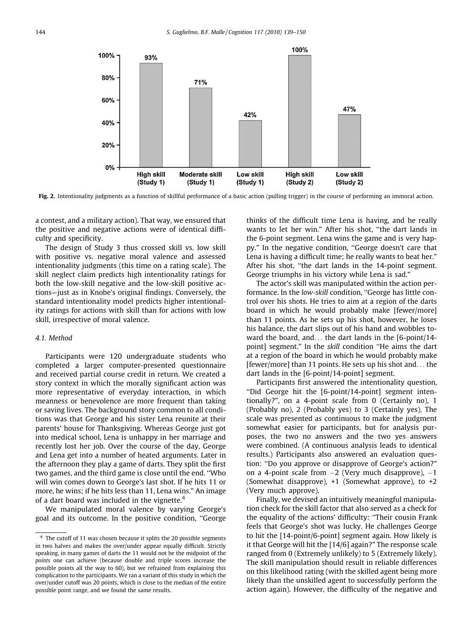<span id="page-5-0"></span>

Fig. 2. Intentionality judgments as a function of skillful performance of a basic action (pulling trigger) in the course of performing an immoral action.

a contest, and a military action). That way, we ensured that the positive and negative actions were of identical difficulty and specificity.

The design of Study 3 thus crossed skill vs. low skill with positive vs. negative moral valence and assessed intentionality judgments (this time on a rating scale). The skill neglect claim predicts high intentionality ratings for both the low-skill negative and the low-skill positive actions—just as in Knobe's original findings. Conversely, the standard intentionality model predicts higher intentionality ratings for actions with skill than for actions with low skill, irrespective of moral valence.

#### 4.1. Method

Participants were 120 undergraduate students who completed a larger computer-presented questionnaire and received partial course credit in return. We created a story context in which the morally significant action was more representative of everyday interaction, in which meanness or benevolence are more frequent than taking or saving lives. The background story common to all conditions was that George and his sister Lena reunite at their parents' house for Thanksgiving. Whereas George just got into medical school, Lena is unhappy in her marriage and recently lost her job. Over the course of the day, George and Lena get into a number of heated arguments. Later in the afternoon they play a game of darts. They split the first two games, and the third game is close until the end. ''Who will win comes down to George's last shot. If he hits 11 or more, he wins; if he hits less than 11, Lena wins." An image of a dart board was included in the vignette.<sup>4</sup>

We manipulated moral valence by varying George's goal and its outcome. In the positive condition, ''George thinks of the difficult time Lena is having, and he really wants to let her win." After his shot, ''the dart lands in the 6-point segment. Lena wins the game and is very happy." In the negative condition, ''George doesn't care that Lena is having a difficult time; he really wants to beat her." After his shot, ''the dart lands in the 14-point segment. George triumphs in his victory while Lena is sad."

The actor's skill was manipulated within the action performance. In the low-skill condition, ''George has little control over his shots. He tries to aim at a region of the darts board in which he would probably make [fewer/more] than 11 points. As he sets up his shot, however, he loses his balance, the dart slips out of his hand and wobbles toward the board, and... the dart lands in the [6-point/14 point] segment." In the skill condition ''He aims the dart at a region of the board in which he would probably make [fewer/more] than 11 points. He sets up his shot and... the dart lands in the [6-point/14-point] segment.

Participants first answered the intentionality question, ''Did George hit the [6-point/14-point] segment intentionally?", on a 4-point scale from 0 (Certainly no), 1 (Probably no), 2 (Probably yes) to 3 (Certainly yes). The scale was presented as continuous to make the judgment somewhat easier for participants, but for analysis purposes, the two no answers and the two yes answers were combined. (A continuous analysis leads to identical results.) Participants also answered an evaluation question: ''Do you approve or disapprove of George's action?" on a 4-point scale from  $-2$  (Very much disapprove),  $-1$ (Somewhat disapprove), +1 (Somewhat approve), to +2 (Very much approve).

Finally, we devised an intuitively meaningful manipulation check for the skill factor that also served as a check for the equality of the actions' difficulty: ''Their cousin Frank feels that George's shot was lucky. He challenges George to hit the [14-point/6-point] segment again. How likely is it that George will hit the [14/6] again?" The response scale ranged from 0 (Extremely unlikely) to 5 (Extremely likely). The skill manipulation should result in reliable differences on this likelihood rating (with the skilled agent being more likely than the unskilled agent to successfully perform the action again). However, the difficulty of the negative and

<sup>4</sup> The cutoff of 11 was chosen because it splits the 20 possible segments in two halves and makes the over/under appear equally difficult. Strictly speaking, in many games of darts the 11 would not be the midpoint of the points one can achieve (because double and triple scores increase the possible points all the way to 60), but we refrained from explaining this complication to the participants. We ran a variant of this study in which the over/under cutoff was 20 points, which is close to the median of the entire possible point range, and we found the same results.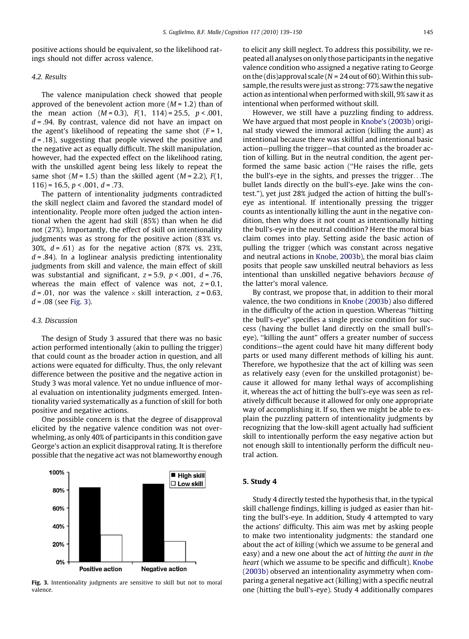positive actions should be equivalent, so the likelihood ratings should not differ across valence.

# 4.2. Results

The valence manipulation check showed that people approved of the benevolent action more  $(M = 1.2)$  than of the mean action  $(M = 0.3)$ ,  $F(1, 114) = 25.5$ ,  $p < .001$ ,  $d = .94$ . By contrast, valence did not have an impact on the agent's likelihood of repeating the same shot  $(F = 1)$ ,  $d = .18$ ), suggesting that people viewed the positive and the negative act as equally difficult. The skill manipulation, however, had the expected effect on the likelihood rating, with the unskilled agent being less likely to repeat the same shot ( $M = 1.5$ ) than the skilled agent ( $M = 2.2$ ),  $F(1, 1)$  $116$ ) = 16.5,  $p < .001$ ,  $d = .73$ .

The pattern of intentionality judgments contradicted the skill neglect claim and favored the standard model of intentionality. People more often judged the action intentional when the agent had skill (85%) than when he did not (27%). Importantly, the effect of skill on intentionality judgments was as strong for the positive action (83% vs. 30%,  $d = .61$ ) as for the negative action (87% vs. 23%,  $d = .84$ ). In a loglinear analysis predicting intentionality judgments from skill and valence, the main effect of skill was substantial and significant,  $z = 5.9$ ,  $p < .001$ ,  $d = .76$ , whereas the main effect of valence was not,  $z = 0.1$ , d = .01, nor was the valence  $\times$  skill interaction, z = 0.63,  $d = .08$  (see Fig. 3).

## 4.3. Discussion

The design of Study 3 assured that there was no basic action performed intentionally (akin to pulling the trigger) that could count as the broader action in question, and all actions were equated for difficulty. Thus, the only relevant difference between the positive and the negative action in Study 3 was moral valence. Yet no undue influence of moral evaluation on intentionality judgments emerged. Intentionality varied systematically as a function of skill for both positive and negative actions.

One possible concern is that the degree of disapproval elicited by the negative valence condition was not overwhelming, as only 40% of participants in this condition gave George's action an explicit disapproval rating. It is therefore possible that the negative act was not blameworthy enough



Fig. 3. Intentionality judgments are sensitive to skill but not to moral valence.

to elicit any skill neglect. To address this possibility, we repeated all analyses on only those participants in the negative valence condition who assigned a negative rating to George on the (dis)approval scale ( $N = 24$  out of 60). Within this subsample, the results were just as strong: 77% saw the negative action as intentional when performed with skill, 9% saw it as intentional when performed without skill.

However, we still have a puzzling finding to address. We have argued that most people in [Knobe's \(2003b\)](#page-11-0) original study viewed the immoral action (killing the aunt) as intentional because there was skillful and intentional basic action—pulling the trigger—that counted as the broader action of killing. But in the neutral condition, the agent performed the same basic action (''He raises the rifle, gets the bull's-eye in the sights, and presses the trigger...The bullet lands directly on the bull's-eye. Jake wins the contest."), yet just 28% judged the action of hitting the bull'seye as intentional. If intentionally pressing the trigger counts as intentionally killing the aunt in the negative condition, then why does it not count as intentionally hitting the bull's-eye in the neutral condition? Here the moral bias claim comes into play. Setting aside the basic action of pulling the trigger (which was constant across negative and neutral actions in [Knobe, 2003b\)](#page-11-0), the moral bias claim posits that people saw unskilled neutral behaviors as less intentional than unskilled negative behaviors because of the latter's moral valence.

By contrast, we propose that, in addition to their moral valence, the two conditions in [Knobe \(2003b\)](#page-11-0) also differed in the difficulty of the action in question. Whereas ''hitting the bull's-eye" specifies a single precise condition for success (having the bullet land directly on the small bull'seye), ''killing the aunt" offers a greater number of success conditions—the agent could have hit many different body parts or used many different methods of killing his aunt. Therefore, we hypothesize that the act of killing was seen as relatively easy (even for the unskilled protagonist) because it allowed for many lethal ways of accomplishing it, whereas the act of hitting the bull's-eye was seen as relatively difficult because it allowed for only one appropriate way of accomplishing it. If so, then we might be able to explain the puzzling pattern of intentionality judgments by recognizing that the low-skill agent actually had sufficient skill to intentionally perform the easy negative action but not enough skill to intentionally perform the difficult neutral action.

#### 5. Study 4

Study 4 directly tested the hypothesis that, in the typical skill challenge findings, killing is judged as easier than hitting the bull's-eye. In addition, Study 4 attempted to vary the actions' difficulty. This aim was met by asking people to make two intentionality judgments: the standard one about the act of killing (which we assume to be general and easy) and a new one about the act of hitting the aunt in the heart (which we assume to be specific and difficult). [Knobe](#page-11-0) [\(2003b\)](#page-11-0) observed an intentionality asymmetry when comparing a general negative act (killing) with a specific neutral one (hitting the bull's-eye). Study 4 additionally compares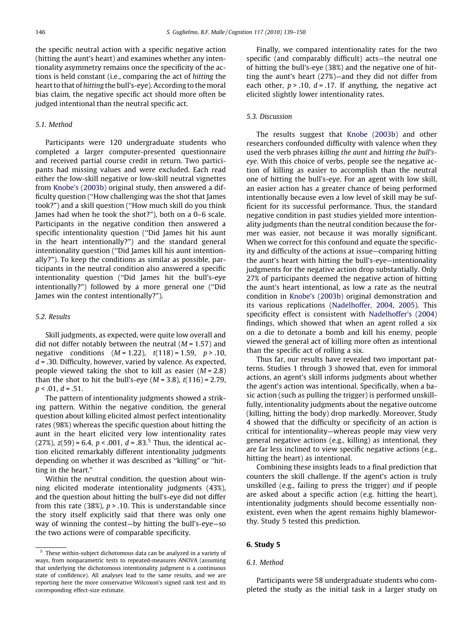the specific neutral action with a specific negative action (hitting the aunt's heart) and examines whether any intentionality asymmetry remains once the specificity of the actions is held constant (i.e., comparing the act of hitting the heart to that of hitting the bull's-eye). According to the moral bias claim, the negative specific act should more often be judged intentional than the neutral specific act.

## 5.1. Method

Participants were 120 undergraduate students who completed a larger computer-presented questionnaire and received partial course credit in return. Two participants had missing values and were excluded. Each read either the low-skill negative or low-skill neutral vignettes from [Knobe's \(2003b\)](#page-11-0) original study, then answered a difficulty question (''How challenging was the shot that James took?") and a skill question (''How much skill do you think James had when he took the shot?"), both on a 0–6 scale. Participants in the negative condition then answered a specific intentionality question (''Did James hit his aunt in the heart intentionally?") and the standard general intentionality question (''Did James kill his aunt intentionally?"). To keep the conditions as similar as possible, participants in the neutral condition also answered a specific intentionality question (''Did James hit the bull's-eye intentionally?") followed by a more general one (''Did James win the contest intentionally?").

#### 5.2. Results

Skill judgments, as expected, were quite low overall and did not differ notably between the neutral  $(M = 1.57)$  and negative conditions  $(M = 1.22)$ ,  $t(118) = 1.59$ ,  $p > .10$ ,  $d = 0.30$ . Difficulty, however, varied by valence. As expected, people viewed taking the shot to kill as easier  $(M = 2.8)$ than the shot to hit the bull's-eye ( $M = 3.8$ ),  $t(116) = 2.79$ ,  $p < .01, d = .51.$ 

The pattern of intentionality judgments showed a striking pattern. Within the negative condition, the general question about killing elicited almost perfect intentionality rates (98%) whereas the specific question about hitting the aunt in the heart elicited very low intentionality rates (27%),  $z(59) = 6.4$ ,  $p < .001$ ,  $d = .83$ .<sup>5</sup> Thus, the identical action elicited remarkably different intentionality judgments depending on whether it was described as ''killing" or ''hitting in the heart."

Within the neutral condition, the question about winning elicited moderate intentionality judgments (43%), and the question about hitting the bull's-eye did not differ from this rate (38%),  $p > 0.10$ . This is understandable since the story itself explicitly said that there was only one way of winning the contest—by hitting the bull's-eye—so the two actions were of comparable specificity.

Finally, we compared intentionality rates for the two specific (and comparably difficult) acts—the neutral one of hitting the bull's-eye (38%) and the negative one of hitting the aunt's heart (27%)—and they did not differ from each other,  $p > 0.10$ ,  $d = 0.17$ . If anything, the negative act elicited slightly lower intentionality rates.

#### 5.3. Discussion

The results suggest that [Knobe \(2003b\)](#page-11-0) and other researchers confounded difficulty with valence when they used the verb phrases killing the aunt and hitting the bull'seye. With this choice of verbs, people see the negative action of killing as easier to accomplish than the neutral one of hitting the bull's-eye. For an agent with low skill, an easier action has a greater chance of being performed intentionally because even a low level of skill may be sufficient for its successful performance. Thus, the standard negative condition in past studies yielded more intentionality judgments than the neutral condition because the former was easier, not because it was morally significant. When we correct for this confound and equate the specificity and difficulty of the actions at issue—comparing hitting the aunt's heart with hitting the bull's-eye—intentionality judgments for the negative action drop substantially. Only 27% of participants deemed the negative action of hitting the aunt's heart intentional, as low a rate as the neutral condition in [Knobe's \(2003b\)](#page-11-0) original demonstration and its various replications ([Nadelhoffer, 2004, 2005\)](#page-11-0). This specificity effect is consistent with [Nadelhoffer's \(2004\)](#page-11-0) findings, which showed that when an agent rolled a six on a die to detonate a bomb and kill his enemy, people viewed the general act of killing more often as intentional than the specific act of rolling a six.

Thus far, our results have revealed two important patterns. Studies 1 through 3 showed that, even for immoral actions, an agent's skill informs judgments about whether the agent's action was intentional. Specifically, when a basic action (such as pulling the trigger) is performed unskillfully, intentionality judgments about the negative outcome (killing, hitting the body) drop markedly. Moreover, Study 4 showed that the difficulty or specificity of an action is critical for intentionality—whereas people may view very general negative actions (e.g., killing) as intentional, they are far less inclined to view specific negative actions (e.g., hitting the heart) as intentional.

Combining these insights leads to a final prediction that counters the skill challenge. If the agent's action is truly unskilled (e.g., failing to press the trigger) and if people are asked about a specific action (e.g. hitting the heart), intentionality judgments should become essentially nonexistent, even when the agent remains highly blameworthy. Study 5 tested this prediction.

#### 6. Study 5

#### 6.1. Method

Participants were 58 undergraduate students who completed the study as the initial task in a larger study on

<sup>5</sup> These within-subject dichotomous data can be analyzed in a variety of ways, from nonparametric tests to repeated-measures ANOVA (assuming that underlying the dichotomous intentionality judgment is a continuous state of confidence). All analyses lead to the same results, and we are reporting here the more conservative Wilcoxon's signed rank test and its corresponding effect-size estimate.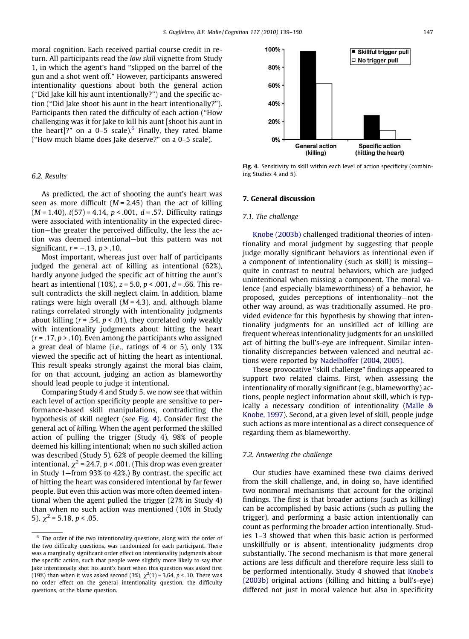moral cognition. Each received partial course credit in return. All participants read the low skill vignette from Study 1, in which the agent's hand ''slipped on the barrel of the gun and a shot went off." However, participants answered intentionality questions about both the general action (''Did Jake kill his aunt intentionally?") and the specific action (''Did Jake shoot his aunt in the heart intentionally?"). Participants then rated the difficulty of each action (''How challenging was it for Jake to kill his aunt [shoot his aunt in the heart]?" on a 0–5 scale). $6$  Finally, they rated blame (''How much blame does Jake deserve?" on a 0–5 scale).

## 6.2. Results

As predicted, the act of shooting the aunt's heart was seen as more difficult ( $M = 2.45$ ) than the act of killing  $(M = 1.40)$ ,  $t(57) = 4.14$ ,  $p < .001$ ,  $d = .57$ . Difficulty ratings were associated with intentionality in the expected direction—the greater the perceived difficulty, the less the action was deemed intentional—but this pattern was not significant,  $r = -.13$ ,  $p > .10$ .

Most important, whereas just over half of participants judged the general act of killing as intentional (62%), hardly anyone judged the specific act of hitting the aunt's heart as intentional (10%),  $z = 5.0$ ,  $p < .001$ ,  $d = .66$ . This result contradicts the skill neglect claim. In addition, blame ratings were high overall  $(M = 4.3)$ , and, although blame ratings correlated strongly with intentionality judgments about killing ( $r = .54$ ,  $p < .01$ ), they correlated only weakly with intentionality judgments about hitting the heart  $(r = .17, p > .10)$ . Even among the participants who assigned a great deal of blame (i.e., ratings of 4 or 5), only 13% viewed the specific act of hitting the heart as intentional. This result speaks strongly against the moral bias claim, for on that account, judging an action as blameworthy should lead people to judge it intentional.

Comparing Study 4 and Study 5, we now see that within each level of action specificity people are sensitive to performance-based skill manipulations, contradicting the hypothesis of skill neglect (see Fig. 4). Consider first the general act of killing. When the agent performed the skilled action of pulling the trigger (Study 4), 98% of people deemed his killing intentional; when no such skilled action was described (Study 5), 62% of people deemed the killing intentional,  $\chi^2$  = 24.7, p < .001. (This drop was even greater in Study 1—from 93% to 42%.) By contrast, the specific act of hitting the heart was considered intentional by far fewer people. But even this action was more often deemed intentional when the agent pulled the trigger (27% in Study 4) than when no such action was mentioned (10% in Study 5),  $\chi^2$  = 5.18,  $p < .05$ .

Fig. 4. Sensitivity to skill within each level of action specificity (combining Studies 4 and 5).

## 7. General discussion

# 7.1. The challenge

[Knobe \(2003b\)](#page-11-0) challenged traditional theories of intentionality and moral judgment by suggesting that people judge morally significant behaviors as intentional even if a component of intentionality (such as skill) is missing quite in contrast to neutral behaviors, which are judged unintentional when missing a component. The moral valence (and especially blameworthiness) of a behavior, he proposed, guides perceptions of intentionality—not the other way around, as was traditionally assumed. He provided evidence for this hypothesis by showing that intentionality judgments for an unskilled act of killing are frequent whereas intentionality judgments for an unskilled act of hitting the bull's-eye are infrequent. Similar intentionality discrepancies between valenced and neutral actions were reported by [Nadelhoffer \(2004, 2005\)](#page-11-0).

These provocative ''skill challenge" findings appeared to support two related claims. First, when assessing the intentionality of morally significant (e.g., blameworthy) actions, people neglect information about skill, which is typically a necessary condition of intentionality [\(Malle &](#page-11-0) [Knobe, 1997\)](#page-11-0). Second, at a given level of skill, people judge such actions as more intentional as a direct consequence of regarding them as blameworthy.

#### 7.2. Answering the challenge

Our studies have examined these two claims derived from the skill challenge, and, in doing so, have identified two nonmoral mechanisms that account for the original findings. The first is that broader actions (such as killing) can be accomplished by basic actions (such as pulling the trigger), and performing a basic action intentionally can count as performing the broader action intentionally. Studies 1–3 showed that when this basic action is performed unskillfully or is absent, intentionality judgments drop substantially. The second mechanism is that more general actions are less difficult and therefore require less skill to be performed intentionally. Study 4 showed that [Knobe's](#page-11-0) [\(2003b\)](#page-11-0) original actions (killing and hitting a bull's-eye) differed not just in moral valence but also in specificity



 $6$  The order of the two intentionality questions, along with the order of the two difficulty questions, was randomized for each participant. There was a marginally significant order effect on intentionality judgments about the specific action, such that people were slightly more likely to say that Jake intentionally shot his aunt's heart when this question was asked first (19%) than when it was asked second (3%),  $\chi^2(1)$  = 3.64, p < .10. There was no order effect on the general intentionality question, the difficulty questions, or the blame question.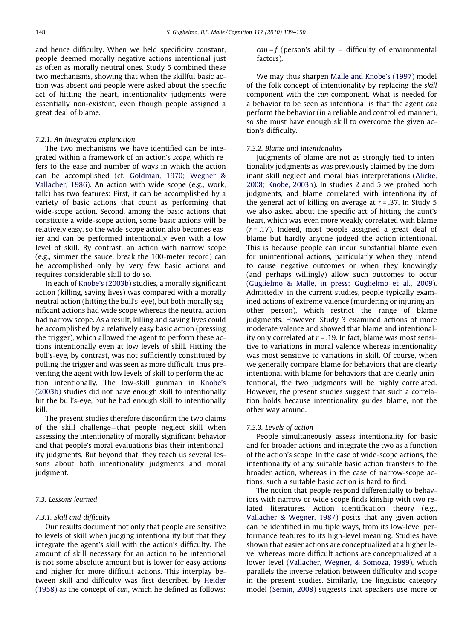and hence difficulty. When we held specificity constant, people deemed morally negative actions intentional just as often as morally neutral ones. Study 5 combined these two mechanisms, showing that when the skillful basic action was absent and people were asked about the specific act of hitting the heart, intentionality judgments were essentially non-existent, even though people assigned a great deal of blame.

#### 7.2.1. An integrated explanation

The two mechanisms we have identified can be integrated within a framework of an action's scope, which refers to the ease and number of ways in which the action can be accomplished (cf. [Goldman, 1970; Wegner &](#page-11-0) [Vallacher, 1986](#page-11-0)). An action with wide scope (e.g., work, talk) has two features: First, it can be accomplished by a variety of basic actions that count as performing that wide-scope action. Second, among the basic actions that constitute a wide-scope action, some basic actions will be relatively easy, so the wide-scope action also becomes easier and can be performed intentionally even with a low level of skill. By contrast, an action with narrow scope (e.g., simmer the sauce, break the 100-meter record) can be accomplished only by very few basic actions and requires considerable skill to do so.

In each of [Knobe's \(2003b\)](#page-11-0) studies, a morally significant action (killing, saving lives) was compared with a morally neutral action (hitting the bull's-eye), but both morally significant actions had wide scope whereas the neutral action had narrow scope. As a result, killing and saving lives could be accomplished by a relatively easy basic action (pressing the trigger), which allowed the agent to perform these actions intentionally even at low levels of skill. Hitting the bull's-eye, by contrast, was not sufficiently constituted by pulling the trigger and was seen as more difficult, thus preventing the agent with low levels of skill to perform the action intentionally. The low-skill gunman in [Knobe's](#page-11-0) [\(2003b\)](#page-11-0) studies did not have enough skill to intentionally hit the bull's-eye, but he had enough skill to intentionally kill.

The present studies therefore disconfirm the two claims of the skill challenge—that people neglect skill when assessing the intentionality of morally significant behavior and that people's moral evaluations bias their intentionality judgments. But beyond that, they teach us several lessons about both intentionality judgments and moral judgment.

# 7.3. Lessons learned

#### 7.3.1. Skill and difficulty

Our results document not only that people are sensitive to levels of skill when judging intentionality but that they integrate the agent's skill with the action's difficulty. The amount of skill necessary for an action to be intentional is not some absolute amount but is lower for easy actions and higher for more difficult actions. This interplay between skill and difficulty was first described by [Heider](#page-11-0) [\(1958\)](#page-11-0) as the concept of can, which he defined as follows:

 $can = f$  (person's ability – difficulty of environmental factors).

We may thus sharpen [Malle and Knobe's \(1997\)](#page-11-0) model of the folk concept of intentionality by replacing the skill component with the can component. What is needed for a behavior to be seen as intentional is that the agent can perform the behavior (in a reliable and controlled manner), so she must have enough skill to overcome the given action's difficulty.

#### 7.3.2. Blame and intentionality

Judgments of blame are not as strongly tied to intentionality judgments as was previously claimed by the dominant skill neglect and moral bias interpretations ([Alicke,](#page-11-0) [2008; Knobe, 2003b\)](#page-11-0). In studies 2 and 5 we probed both judgments, and blame correlated with intentionality of the general act of killing on average at  $r = .37$ . In Study 5 we also asked about the specific act of hitting the aunt's heart, which was even more weakly correlated with blame  $(r = .17)$ . Indeed, most people assigned a great deal of blame but hardly anyone judged the action intentional. This is because people can incur substantial blame even for unintentional actions, particularly when they intend to cause negative outcomes or when they knowingly (and perhaps willingly) allow such outcomes to occur [\(Guglielmo & Malle, in press; Guglielmo et al., 2009](#page-11-0)). Admittedly, in the current studies, people typically examined actions of extreme valence (murdering or injuring another person), which restrict the range of blame judgments. However, Study 3 examined actions of more moderate valence and showed that blame and intentionality only correlated at  $r = .19$ . In fact, blame was most sensitive to variations in moral valence whereas intentionality was most sensitive to variations in skill. Of course, when we generally compare blame for behaviors that are clearly intentional with blame for behaviors that are clearly unintentional, the two judgments will be highly correlated. However, the present studies suggest that such a correlation holds because intentionality guides blame, not the other way around.

#### 7.3.3. Levels of action

People simultaneously assess intentionality for basic and for broader actions and integrate the two as a function of the action's scope. In the case of wide-scope actions, the intentionality of any suitable basic action transfers to the broader action, whereas in the case of narrow-scope actions, such a suitable basic action is hard to find.

The notion that people respond differentially to behaviors with narrow or wide scope finds kinship with two related literatures. Action identification theory (e.g., [Vallacher & Wegner, 1987\)](#page-11-0) posits that any given action can be identified in multiple ways, from its low-level performance features to its high-level meaning. Studies have shown that easier actions are conceptualized at a higher level whereas more difficult actions are conceptualized at a lower level [\(Vallacher, Wegner, & Somoza, 1989\)](#page-11-0), which parallels the inverse relation between difficulty and scope in the present studies. Similarly, the linguistic category model [\(Semin, 2008\)](#page-11-0) suggests that speakers use more or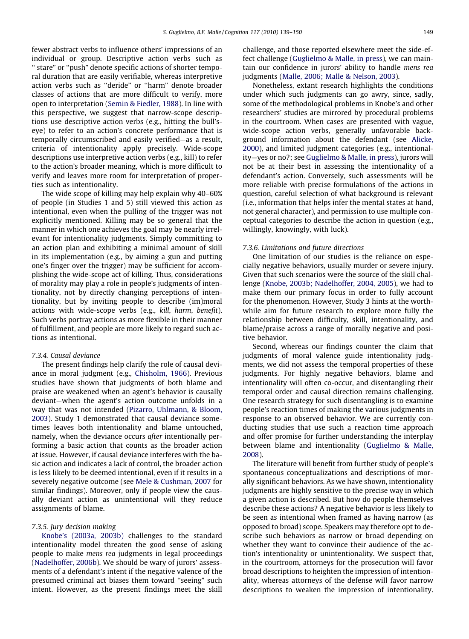fewer abstract verbs to influence others' impressions of an individual or group. Descriptive action verbs such as '' stare" or ''push" denote specific actions of shorter temporal duration that are easily verifiable, whereas interpretive action verbs such as ''deride" or ''harm" denote broader classes of actions that are more difficult to verify, more open to interpretation [\(Semin & Fiedler, 1988\)](#page-11-0). In line with this perspective, we suggest that narrow-scope descriptions use descriptive action verbs (e.g., hitting the bull'seye) to refer to an action's concrete performance that is temporally circumscribed and easily verified—as a result, criteria of intentionality apply precisely. Wide-scope descriptions use interpretive action verbs (e.g., kill) to refer to the action's broader meaning, which is more difficult to verify and leaves more room for interpretation of properties such as intentionality.

The wide scope of killing may help explain why 40–60% of people (in Studies 1 and 5) still viewed this action as intentional, even when the pulling of the trigger was not explicitly mentioned. Killing may be so general that the manner in which one achieves the goal may be nearly irrelevant for intentionality judgments. Simply committing to an action plan and exhibiting a minimal amount of skill in its implementation (e.g., by aiming a gun and putting one's finger over the trigger) may be sufficient for accomplishing the wide-scope act of killing. Thus, considerations of morality may play a role in people's judgments of intentionality, not by directly changing perceptions of intentionality, but by inviting people to describe (im)moral actions with wide-scope verbs (e.g., kill, harm, benefit). Such verbs portray actions as more flexible in their manner of fulfillment, and people are more likely to regard such actions as intentional.

#### 7.3.4. Causal deviance

The present findings help clarify the role of causal deviance in moral judgment (e.g., [Chisholm, 1966](#page-11-0)). Previous studies have shown that judgments of both blame and praise are weakened when an agent's behavior is causally deviant—when the agent's action outcome unfolds in a way that was not intended [\(Pizarro, Uhlmann, & Bloom,](#page-11-0) [2003\)](#page-11-0). Study 1 demonstrated that causal deviance sometimes leaves both intentionality and blame untouched, namely, when the deviance occurs after intentionally performing a basic action that counts as the broader action at issue. However, if causal deviance interferes with the basic action and indicates a lack of control, the broader action is less likely to be deemed intentional, even if it results in a severely negative outcome (see [Mele & Cushman, 2007](#page-11-0) for similar findings). Moreover, only if people view the causally deviant action as unintentional will they reduce assignments of blame.

# 7.3.5. Jury decision making

[Knobe's \(2003a, 2003b\)](#page-11-0) challenges to the standard intentionality model threaten the good sense of asking people to make mens rea judgments in legal proceedings ([Nadelhoffer, 2006b](#page-11-0)). We should be wary of jurors' assessments of a defendant's intent if the negative valence of the presumed criminal act biases them toward ''seeing" such intent. However, as the present findings meet the skill challenge, and those reported elsewhere meet the side-effect challenge ([Guglielmo & Malle, in press](#page-11-0)), we can maintain our confidence in jurors' ability to handle mens rea judgments ([Malle, 2006; Malle & Nelson, 2003](#page-11-0)).

Nonetheless, extant research highlights the conditions under which such judgments can go awry, since, sadly, some of the methodological problems in Knobe's and other researchers' studies are mirrored by procedural problems in the courtroom. When cases are presented with vague, wide-scope action verbs, generally unfavorable background information about the defendant (see [Alicke,](#page-11-0) [2000\)](#page-11-0), and limited judgment categories (e.g., intentionality—yes or no?; see [Guglielmo & Malle, in press\)](#page-11-0), jurors will not be at their best in assessing the intentionality of a defendant's action. Conversely, such assessments will be more reliable with precise formulations of the actions in question, careful selection of what background is relevant (i.e., information that helps infer the mental states at hand, not general character), and permission to use multiple conceptual categories to describe the action in question (e.g., willingly, knowingly, with luck).

#### 7.3.6. Limitations and future directions

One limitation of our studies is the reliance on especially negative behaviors, usually murder or severe injury. Given that such scenarios were the source of the skill challenge [\(Knobe, 2003b; Nadelhoffer, 2004, 2005](#page-11-0)), we had to make them our primary focus in order to fully account for the phenomenon. However, Study 3 hints at the worthwhile aim for future research to explore more fully the relationship between difficulty, skill, intentionality, and blame/praise across a range of morally negative and positive behavior.

Second, whereas our findings counter the claim that judgments of moral valence guide intentionality judgments, we did not assess the temporal properties of these judgments. For highly negative behaviors, blame and intentionality will often co-occur, and disentangling their temporal order and causal direction remains challenging. One research strategy for such disentangling is to examine people's reaction times of making the various judgments in response to an observed behavior. We are currently conducting studies that use such a reaction time approach and offer promise for further understanding the interplay between blame and intentionality ([Guglielmo & Malle,](#page-11-0) [2008\)](#page-11-0).

The literature will benefit from further study of people's spontaneous conceptualizations and descriptions of morally significant behaviors. As we have shown, intentionality judgments are highly sensitive to the precise way in which a given action is described. But how do people themselves describe these actions? A negative behavior is less likely to be seen as intentional when framed as having narrow (as opposed to broad) scope. Speakers may therefore opt to describe such behaviors as narrow or broad depending on whether they want to convince their audience of the action's intentionality or unintentionality. We suspect that, in the courtroom, attorneys for the prosecution will favor broad descriptions to heighten the impression of intentionality, whereas attorneys of the defense will favor narrow descriptions to weaken the impression of intentionality.